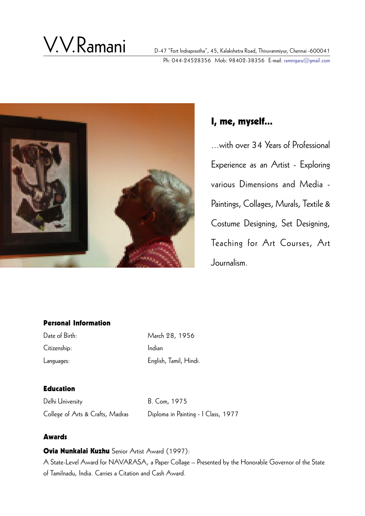# V.V.Ramani

D-47 "Fort Indraprastha", 45, Kalakshetra Road, Thiruvanmiyur, Chennai -600041 Ph: 044-24528356 Mob: 98402-38356 E-mail: ramnigaru@gmail.com



# I, me, myself...

...with over 34 Years of Professional Experience as an Artist - Exploring various Dimensions and Media - Paintings, Collages, Murals, Textile & Costume Designing, Set Designing, Teaching for Art Courses, Art Journalism.

#### Personal Information

Citizenship: Indian

Date of Birth: March 28, 1956 Languages: English, Tamil, Hindi.

### Education

Delhi University B. Com, 1975 College of Arts & Crafts, Madras Diploma in Painting - I Class, 1977

### Awards

Ovia Nunkalai Kuzhu Senior Artist Award (1997):

A State-Level Award for NAVARASA, a Paper Collage – Presented by the Honorable Governor of the State of Tamilnadu, India. Carries a Citation and Cash Award.